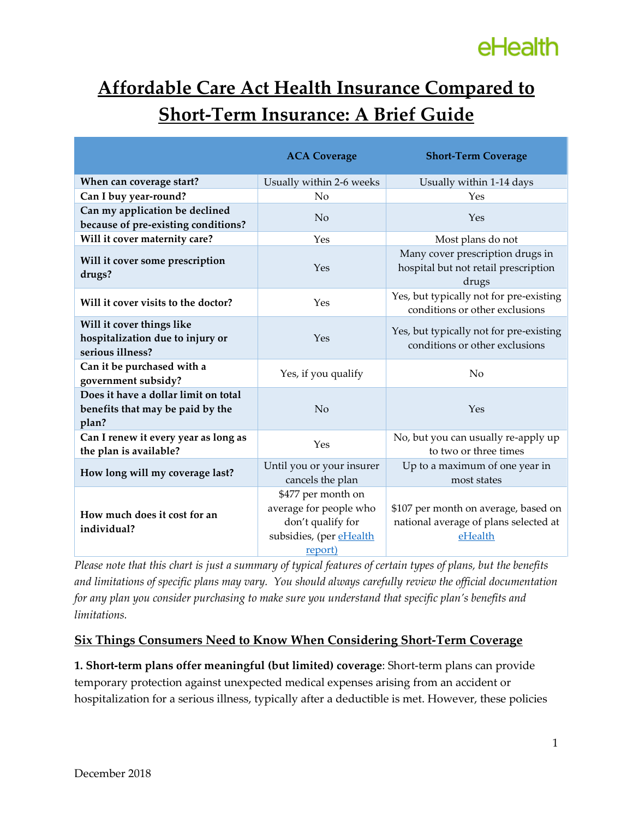# eHealth

### **Affordable Care Act Health Insurance Compared to Short-Term Insurance: A Brief Guide**

|                                                                                   | <b>ACA Coverage</b>                                                                                     | <b>Short-Term Coverage</b>                                                               |
|-----------------------------------------------------------------------------------|---------------------------------------------------------------------------------------------------------|------------------------------------------------------------------------------------------|
| When can coverage start?                                                          | Usually within 2-6 weeks                                                                                | Usually within 1-14 days                                                                 |
| Can I buy year-round?                                                             | N <sub>0</sub>                                                                                          | Yes                                                                                      |
| Can my application be declined<br>because of pre-existing conditions?             | No                                                                                                      | Yes                                                                                      |
| Will it cover maternity care?                                                     | Yes                                                                                                     | Most plans do not                                                                        |
| Will it cover some prescription<br>drugs?                                         | Yes                                                                                                     | Many cover prescription drugs in<br>hospital but not retail prescription<br>drugs        |
| Will it cover visits to the doctor?                                               | Yes                                                                                                     | Yes, but typically not for pre-existing<br>conditions or other exclusions                |
| Will it cover things like<br>hospitalization due to injury or<br>serious illness? | Yes                                                                                                     | Yes, but typically not for pre-existing<br>conditions or other exclusions                |
| Can it be purchased with a<br>government subsidy?                                 | Yes, if you qualify                                                                                     | No                                                                                       |
| Does it have a dollar limit on total<br>benefits that may be paid by the<br>plan? | No                                                                                                      | Yes                                                                                      |
| Can I renew it every year as long as<br>the plan is available?                    | Yes                                                                                                     | No, but you can usually re-apply up<br>to two or three times                             |
| How long will my coverage last?                                                   | Until you or your insurer<br>cancels the plan                                                           | Up to a maximum of one year in<br>most states                                            |
| How much does it cost for an<br>individual?                                       | \$477 per month on<br>average for people who<br>don't qualify for<br>subsidies, (per eHealth<br>report) | \$107 per month on average, based on<br>national average of plans selected at<br>eHealth |

*Please note that this chart is just a summary of typical features of certain types of plans, but the benefits and limitations of specific plans may vary. You should always carefully review the official documentation for any plan you consider purchasing to make sure you understand that specific plan's benefits and limitations.*

### **Six Things Consumers Need to Know When Considering Short-Term Coverage**

**1. Short-term plans offer meaningful (but limited) coverage**: Short-term plans can provide temporary protection against unexpected medical expenses arising from an accident or hospitalization for a serious illness, typically after a deductible is met. However, these policies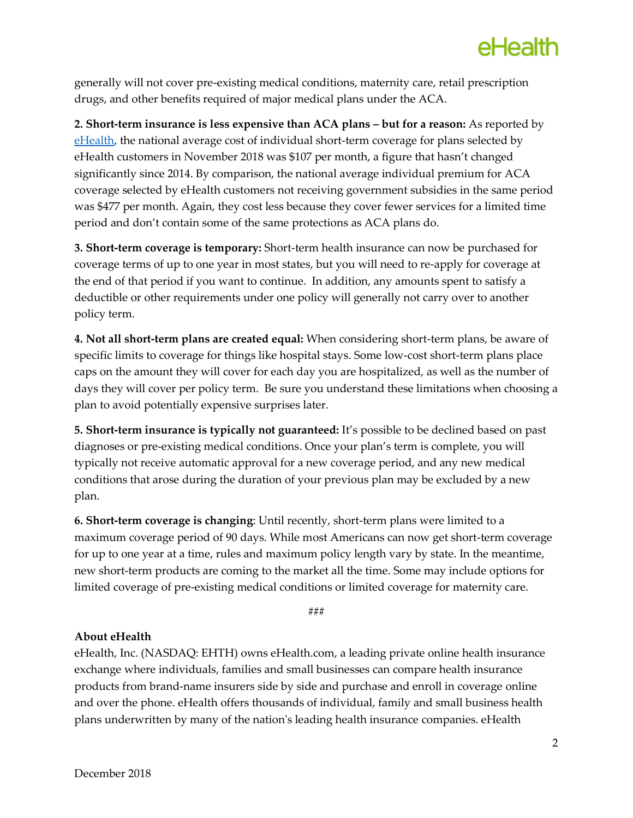

generally will not cover pre-existing medical conditions, maternity care, retail prescription drugs, and other benefits required of major medical plans under the ACA.

**2. Short-term insurance is less expensive than ACA plans – but for a reason:** As reported by [eHealth,](https://news.ehealthinsurance.com/_ir/68/201810/Open%20Enrollment%20for%202019%20Half-Time%20Report.pdf) the national average cost of individual short-term coverage for plans selected by eHealth customers in November 2018 was \$107 per month, a figure that hasn't changed significantly since 2014. By comparison, the national average individual premium for ACA coverage selected by eHealth customers not receiving government subsidies in the same period was \$477 per month. Again, they cost less because they cover fewer services for a limited time period and don't contain some of the same protections as ACA plans do.

**3. Short-term coverage is temporary:** Short-term health insurance can now be purchased for coverage terms of up to one year in most states, but you will need to re-apply for coverage at the end of that period if you want to continue. In addition, any amounts spent to satisfy a deductible or other requirements under one policy will generally not carry over to another policy term.

**4. Not all short-term plans are created equal:** When considering short-term plans, be aware of specific limits to coverage for things like hospital stays. Some low-cost short-term plans place caps on the amount they will cover for each day you are hospitalized, as well as the number of days they will cover per policy term. Be sure you understand these limitations when choosing a plan to avoid potentially expensive surprises later.

**5. Short-term insurance is typically not guaranteed:** It's possible to be declined based on past diagnoses or pre-existing medical conditions. Once your plan's term is complete, you will typically not receive automatic approval for a new coverage period, and any new medical conditions that arose during the duration of your previous plan may be excluded by a new plan.

**6. Short-term coverage is changing**: Until recently, short-term plans were limited to a maximum coverage period of 90 days. While most Americans can now get short-term coverage for up to one year at a time, rules and maximum policy length vary by state. In the meantime, new short-term products are coming to the market all the time. Some may include options for limited coverage of pre-existing medical conditions or limited coverage for maternity care.

###

#### **About eHealth**

eHealth, Inc. (NASDAQ: EHTH) owns eHealth.com, a leading private online health insurance exchange where individuals, families and small businesses can compare health insurance products from brand-name insurers side by side and purchase and enroll in coverage online and over the phone. eHealth offers thousands of individual, family and small business health plans underwritten by many of the nation's leading health insurance companies. eHealth